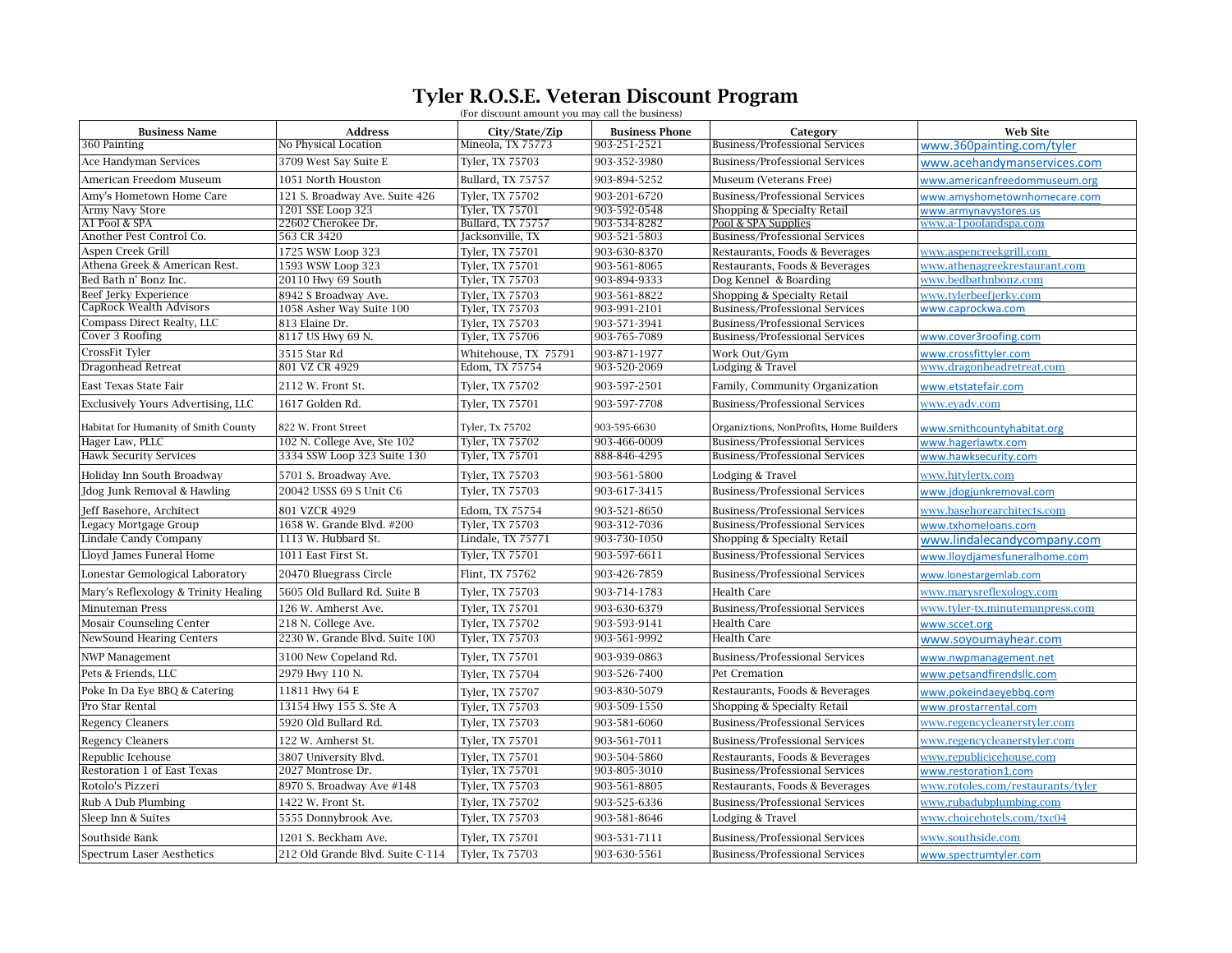## Tyler R.O.S.E. Veteran Discount Program  $\overline{\text{C}}$

|                                      |                                  | (For discount amount you may call the business) |                       |                                         |                                   |  |  |
|--------------------------------------|----------------------------------|-------------------------------------------------|-----------------------|-----------------------------------------|-----------------------------------|--|--|
| <b>Business Name</b>                 | <b>Address</b>                   | City/State/Zip                                  | <b>Business Phone</b> | Category                                | <b>Web Site</b>                   |  |  |
| 360 Painting                         | No Physical Location             | Mineola, TX 75773                               | 903-251-2521          | Business/Professional Services          | www.360painting.com/tyler         |  |  |
| Ace Handyman Services                | 3709 West Say Suite E            | Tyler, TX 75703                                 | 903-352-3980          | <b>Business/Professional Services</b>   | www.acehandymanservices.com       |  |  |
| American Freedom Museum              | 1051 North Houston               | Bullard, TX 75757                               | 903-894-5252          | Museum (Veterans Free)                  | www.americanfreedommuseum.org     |  |  |
| Amy's Hometown Home Care             | 121 S. Broadway Ave. Suite 426   | Tyler, TX 75702                                 | 903-201-6720          | <b>Business/Professional Services</b>   | www.amyshometownhomecare.com      |  |  |
| Army Navy Store                      | 1201 SSE Loop 323                | Tyler, TX 75701                                 | 903-592-0548          | Shopping & Specialty Retail             | www.armynavystores.us             |  |  |
| A1 Pool & SPA                        | 22602 Cherokee Dr.               | Bullard, TX 75757                               | 903-534-8282          | Pool & SPA Supplies                     | www.a-1poolandspa.com             |  |  |
| Another Pest Control Co.             | 563 CR 3420                      | Jacksonville, TX                                | 903-521-5803          | <b>Business/Professional Services</b>   |                                   |  |  |
| Aspen Creek Grill                    | 1725 WSW Loop 323                | Tyler, TX 75701                                 | 903-630-8370          | Restaurants, Foods & Beverages          | www.aspencreekgrill.com           |  |  |
| Athena Greek & American Rest.        | 1593 WSW Loop 323                | <b>Tyler. TX 75701</b>                          | 903-561-8065          | Restaurants, Foods & Beverages          | www.athenagreekrestaurant.com     |  |  |
| Bed Bath n' Bonz Inc.                | 20110 Hwy 69 South               | Tyler, TX 75703                                 | 903-894-9333          | Dog Kennel & Boarding                   | www.bedbathnbonz.com              |  |  |
| Beef Jerky Experience                | 8942 S Broadway Ave.             | Tyler, TX 75703                                 | 903-561-8822          | Shopping & Specialty Retail             | www.tylerbeefierky.com            |  |  |
| CapRock Wealth Advisors              | 1058 Asher Way Suite 100         | Tyler, TX 75703                                 | 903-991-2101          | <b>Business/Professional Services</b>   | www.caprockwa.com                 |  |  |
| Compass Direct Realty, LLC           | 813 Elaine Dr.                   | Tyler, TX 75703                                 | 903-571-3941          | <b>Business/Professional Services</b>   |                                   |  |  |
| Cover 3 Roofing                      | 8117 US Hwy 69 N.                | Tyler, TX 75706                                 | 903-765-7089          | Business/Professional Services          | www.cover3roofing.com             |  |  |
| CrossFit Tyler                       | 3515 Star Rd                     | Whitehouse, TX 75791                            | 903-871-1977          | Work Out/Gym                            | www.crossfittyler.com             |  |  |
| Dragonhead Retreat                   | 801 VZ CR 4929                   | Edom, TX 75754                                  | 903-520-2069          | Lodging & Travel                        | www.dragonheadretreat.com         |  |  |
| East Texas State Fair                | 2112 W. Front St.                | Tyler, TX 75702                                 | 903-597-2501          | Family, Community Organization          | www.etstatefair.com               |  |  |
| Exclusively Yours Advertising, LLC   | 1617 Golden Rd.                  | Tyler, TX 75701                                 | 903-597-7708          | Business/Professional Services          | www.eyadv.com                     |  |  |
| Habitat for Humanity of Smith County | 822 W. Front Street              | Tyler, Tx 75702                                 | 903-595-6630          | Organiztions, NonProfits, Home Builders | www.smithcountyhabitat.org        |  |  |
| Hager Law, PLLC                      | 102 N. College Ave, Ste 102      | Tyler, TX 75702                                 | 903-466-0009          | Business/Professional Services          | www.hagerlawtx.com                |  |  |
| <b>Hawk Security Services</b>        | 3334 SSW Loop 323 Suite 130      | Tyler, TX 75701                                 | 888-846-4295          | <b>Business/Professional Services</b>   | www.hawksecurity.com              |  |  |
| Holiday Inn South Broadway           | 5701 S. Broadway Ave.            | Tyler, TX 75703                                 | 903-561-5800          | Lodging & Travel                        | www.hitylertx.com                 |  |  |
| Jdog Junk Removal & Hawling          | 20042 USSS 69 S Unit C6          | Tyler, TX 75703                                 | 903-617-3415          | <b>Business/Professional Services</b>   | www.jdogjunkremoval.com           |  |  |
| Jeff Basehore, Architect             | 801 VZCR 4929                    | Edom, TX 75754                                  | 903-521-8650          | <b>Business/Professional Services</b>   | www.basehorearchitects.com        |  |  |
| Legacy Mortgage Group                | 1658 W. Grande Blvd. #200        | Tyler, TX 75703                                 | 903-312-7036          | <b>Business/Professional Services</b>   | www.txhomeloans.com               |  |  |
| <b>Lindale Candy Company</b>         | 1113 W. Hubbard St.              | Lindale, TX 75771                               | 903-730-1050          | Shopping & Specialty Retail             | www.lindalecandycompany.com       |  |  |
| Lloyd James Funeral Home             | 1011 East First St.              | Tyler, TX 75701                                 | 903-597-6611          | <b>Business/Professional Services</b>   | www.lloydiamesfuneralhome.com     |  |  |
| Lonestar Gemological Laboratory      | 20470 Bluegrass Circle           | Flint, TX 75762                                 | 903-426-7859          | <b>Business/Professional Services</b>   | www.lonestargemlab.com            |  |  |
| Mary's Reflexology & Trinity Healing | 5605 Old Bullard Rd. Suite B     | Tyler, TX 75703                                 | 903-714-1783          | <b>Health Care</b>                      | www.marysreflexology.com          |  |  |
| Minuteman Press                      | 126 W. Amherst Ave.              | Tyler, TX 75701                                 | 903-630-6379          | <b>Business/Professional Services</b>   | www.tyler-tx.minutemanpress.com   |  |  |
| <b>Mosair Counseling Center</b>      | 218 N. College Ave.              | Tyler, TX 75702                                 | 903-593-9141          | Health Care                             | www.sccet.org                     |  |  |
| <b>NewSound Hearing Centers</b>      | 2230 W. Grande Blvd. Suite 100   | Tyler, TX 75703                                 | 903-561-9992          | <b>Health Care</b>                      | www.soyoumayhear.com              |  |  |
| <b>NWP Management</b>                | 3100 New Copeland Rd.            | Tyler, TX 75701                                 | 903-939-0863          | <b>Business/Professional Services</b>   | www.nwpmanagement.net             |  |  |
| Pets & Friends, LLC                  | 2979 Hwy 110 N.                  | Tyler, TX 75704                                 | 903-526-7400          | Pet Cremation                           | www.petsandfirendsllc.com         |  |  |
| Poke In Da Eye BBQ & Catering        | 11811 Hwy 64 E                   | Tyler, TX 75707                                 | 903-830-5079          | Restaurants, Foods & Beverages          | www.pokeindaeyebbg.com            |  |  |
| Pro Star Rental                      | 13154 Hwy 155 S. Ste A           | Tyler, TX 75703                                 | 903-509-1550          | Shopping & Specialty Retail             | www.prostarrental.com             |  |  |
| <b>Regency Cleaners</b>              | 5920 Old Bullard Rd.             | Tyler, TX 75703                                 | 903-581-6060          | <b>Business/Professional Services</b>   | www.regencycleanerstyler.com      |  |  |
| <b>Regency Cleaners</b>              | 122 W. Amherst St.               | Tyler, TX 75701                                 | 903-561-7011          | <b>Business/Professional Services</b>   | www.regencycleanerstyler.com      |  |  |
| Republic Icehouse                    | 3807 University Blvd.            | Tyler, TX 75701                                 | 903-504-5860          | Restaurants, Foods & Beverages          | www.republicicehouse.com          |  |  |
| <b>Restoration 1 of East Texas</b>   | 2027 Montrose Dr.                | Tyler, TX 75701                                 | 903-805-3010          | Business/Professional Services          | www.restoration1.com              |  |  |
| Rotolo's Pizzeri                     | 8970 S. Broadway Ave #148        | Tyler, TX 75703                                 | 903-561-8805          | Restaurants, Foods & Beverages          | www.rotoles.com/restaurants/tyler |  |  |
| Rub A Dub Plumbing                   | 1422 W. Front St.                | Tyler, TX 75702                                 | 903-525-6336          | <b>Business/Professional Services</b>   | www.rubadubplumbing.com           |  |  |
| Sleep Inn & Suites                   | 5555 Donnybrook Ave.             | Tyler, TX 75703                                 | 903-581-8646          | Lodging & Travel                        | www.choicehotels.com/txc04        |  |  |
| Southside Bank                       | 1201 S. Beckham Ave.             | Tyler, TX 75701                                 | 903-531-7111          | <b>Business/Professional Services</b>   | www.southside.com                 |  |  |
|                                      |                                  |                                                 |                       |                                         |                                   |  |  |
| Spectrum Laser Aesthetics            | 212 Old Grande Blvd. Suite C-114 | Tyler, Tx 75703                                 | 903-630-5561          | <b>Business/Professional Services</b>   | www.spectrumtyler.com             |  |  |